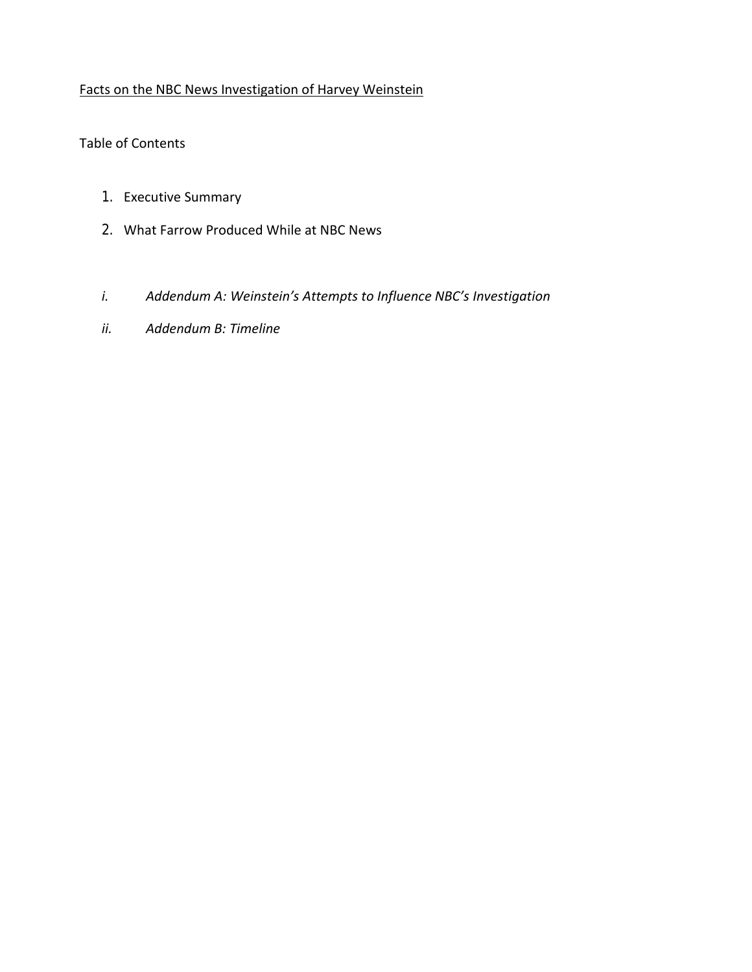## Facts on the NBC News Investigation of Harvey Weinstein

# Table of Contents

- 1. Executive Summary
- 2. What Farrow Produced While at NBC News
- *i. Addendum A: Weinstein's Attempts to Influence NBC's Investigation*
- *ii. Addendum B: Timeline*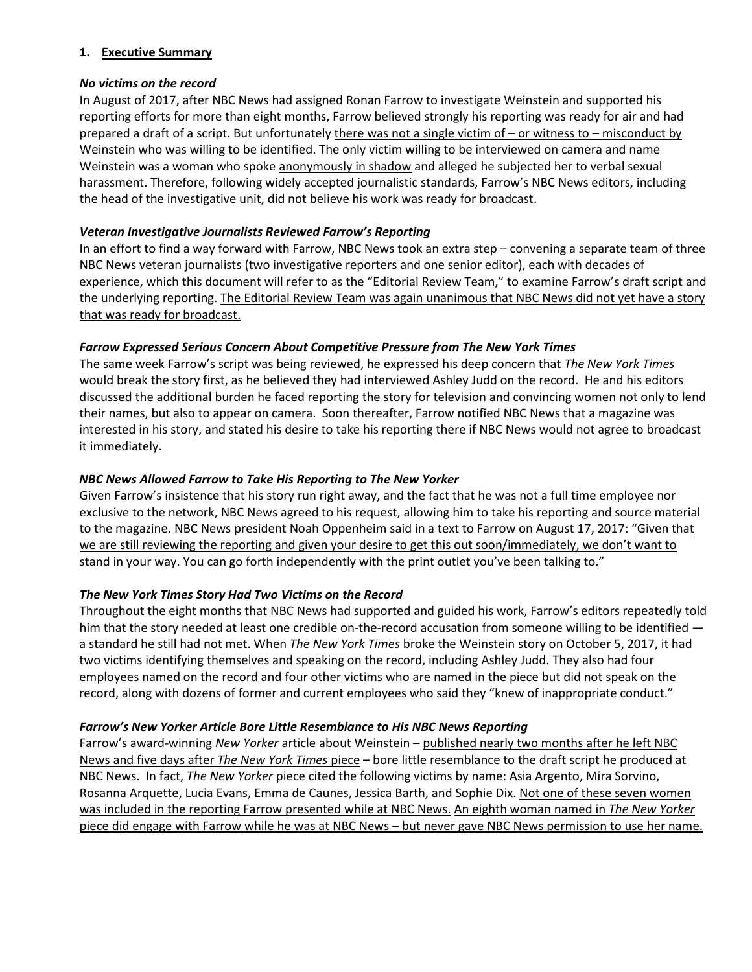#### **1. Executive Summary**

#### *No victims on the record*

In August of 2017, after NBC News had assigned Ronan Farrow to investigate Weinstein and supported his reporting efforts for more than eight months, Farrow believed strongly his reporting was ready for air and had prepared a draft of a script. But unfortunately there was not a single victim of – or witness to – misconduct by Weinstein who was willing to be identified. The only victim willing to be interviewed on camera and name Weinstein was a woman who spoke anonymously in shadow and alleged he subjected her to verbal sexual harassment. Therefore, following widely accepted journalistic standards, Farrow's NBC News editors, including the head of the investigative unit, did not believe his work was ready for broadcast.

### *Veteran Investigative Journalists Reviewed Farrow's Reporting*

In an effort to find a way forward with Farrow, NBC News took an extra step – convening a separate team of three NBC News veteran journalists (two investigative reporters and one senior editor), each with decades of experience, which this document will refer to as the "Editorial Review Team," to examine Farrow's draft script and the underlying reporting. The Editorial Review Team was again unanimous that NBC News did not yet have a story that was ready for broadcast.

## *Farrow Expressed Serious Concern About Competitive Pressure from The New York Times*

The same week Farrow's script was being reviewed, he expressed his deep concern that *The New York Times* would break the story first, as he believed they had interviewed Ashley Judd on the record. He and his editors discussed the additional burden he faced reporting the story for television and convincing women not only to lend their names, but also to appear on camera. Soon thereafter, Farrow notified NBC News that a magazine was interested in his story, and stated his desire to take his reporting there if NBC News would not agree to broadcast it immediately.

## *NBC News Allowed Farrow to Take His Reporting to The New Yorker*

Given Farrow's insistence that his story run right away, and the fact that he was not a full time employee nor exclusive to the network, NBC News agreed to his request, allowing him to take his reporting and source material to the magazine. NBC News president Noah Oppenheim said in a text to Farrow on August 17, 2017: "Given that we are still reviewing the reporting and given your desire to get this out soon/immediately, we don't want to stand in your way. You can go forth independently with the print outlet you've been talking to."

## *The New York Times Story Had Two Victims on the Record*

Throughout the eight months that NBC News had supported and guided his work, Farrow's editors repeatedly told him that the story needed at least one credible on-the-record accusation from someone willing to be identified a standard he still had not met. When *The New York Times* broke the Weinstein story on October 5, 2017, it had two victims identifying themselves and speaking on the record, including Ashley Judd. They also had four employees named on the record and four other victims who are named in the piece but did not speak on the record, along with dozens of former and current employees who said they "knew of inappropriate conduct."

#### *Farrow's New Yorker Article Bore Little Resemblance to His NBC News Reporting*

Farrow's award-winning *New Yorker* article about Weinstein – published nearly two months after he left NBC News and five days after *The New York Times* piece – bore little resemblance to the draft script he produced at NBC News. In fact, *The New Yorker* piece cited the following victims by name: Asia Argento, Mira Sorvino, Rosanna Arquette, Lucia Evans, Emma de Caunes, Jessica Barth, and Sophie Dix. Not one of these seven women was included in the reporting Farrow presented while at NBC News. An eighth woman named in *The New Yorker* piece did engage with Farrow while he was at NBC News – but never gave NBC News permission to use her name.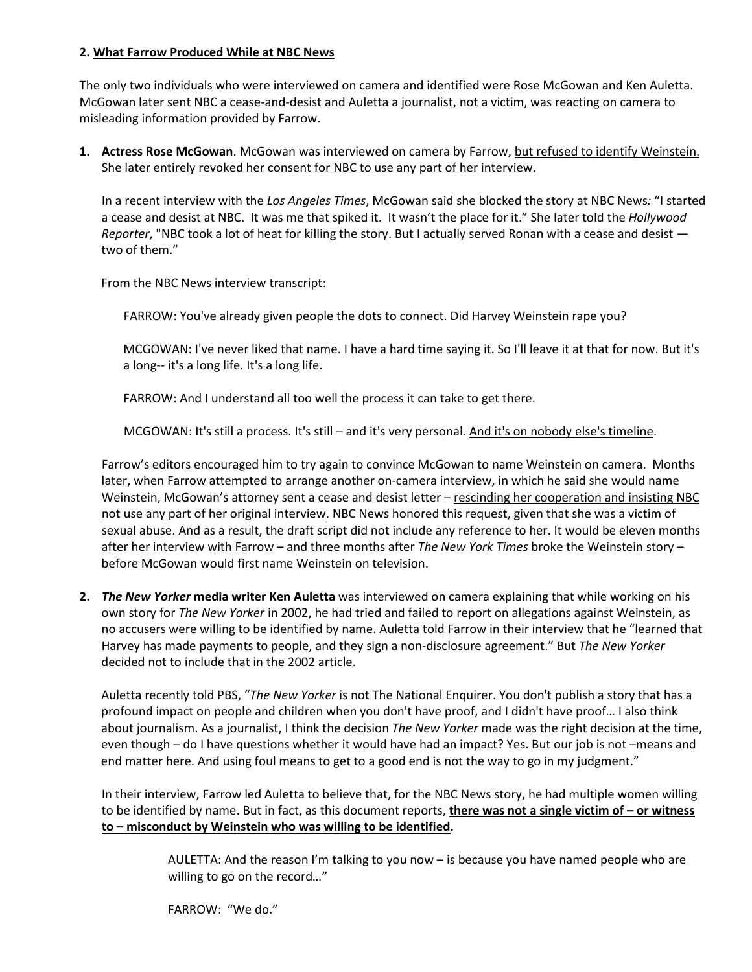#### **2. What Farrow Produced While at NBC News**

The only two individuals who were interviewed on camera and identified were Rose McGowan and Ken Auletta. McGowan later sent NBC a cease-and-desist and Auletta a journalist, not a victim, was reacting on camera to misleading information provided by Farrow.

**1. Actress Rose McGowan**. McGowan was interviewed on camera by Farrow, but refused to identify Weinstein. She later entirely revoked her consent for NBC to use any part of her interview.

In a recent interview with the *Los Angeles Times*, McGowan said she blocked the story at NBC News*:* "I started a cease and desist at NBC. It was me that spiked it. It wasn't the place for it." She later told the *Hollywood Reporter*, "NBC took a lot of heat for killing the story. But I actually served Ronan with a cease and desist two of them."

From the NBC News interview transcript:

FARROW: You've already given people the dots to connect. Did Harvey Weinstein rape you?

MCGOWAN: I've never liked that name. I have a hard time saying it. So I'll leave it at that for now. But it's a long-- it's a long life. It's a long life.

FARROW: And I understand all too well the process it can take to get there.

MCGOWAN: It's still a process. It's still – and it's very personal. And it's on nobody else's timeline.

Farrow's editors encouraged him to try again to convince McGowan to name Weinstein on camera. Months later, when Farrow attempted to arrange another on-camera interview, in which he said she would name Weinstein, McGowan's attorney sent a cease and desist letter – rescinding her cooperation and insisting NBC not use any part of her original interview. NBC News honored this request, given that she was a victim of sexual abuse. And as a result, the draft script did not include any reference to her. It would be eleven months after her interview with Farrow – and three months after *The New York Times* broke the Weinstein story – before McGowan would first name Weinstein on television.

**2.** *The New Yorker* **media writer Ken Auletta** was interviewed on camera explaining that while working on his own story for *The New Yorker* in 2002, he had tried and failed to report on allegations against Weinstein, as no accusers were willing to be identified by name. Auletta told Farrow in their interview that he "learned that Harvey has made payments to people, and they sign a non-disclosure agreement." But *The New Yorker* decided not to include that in the 2002 article.

Auletta recently told PBS, "*The New Yorker* is not The National Enquirer. You don't publish a story that has a profound impact on people and children when you don't have proof, and I didn't have proof… I also think about journalism. As a journalist, I think the decision *The New Yorker* made was the right decision at the time, even though – do I have questions whether it would have had an impact? Yes. But our job is not –means and end matter here. And using foul means to get to a good end is not the way to go in my judgment."

In their interview, Farrow led Auletta to believe that, for the NBC News story, he had multiple women willing to be identified by name. But in fact, as this document reports, **there was not a single victim of – or witness to – misconduct by Weinstein who was willing to be identified.**

> AULETTA: And the reason I'm talking to you now – is because you have named people who are willing to go on the record…"

FARROW: "We do."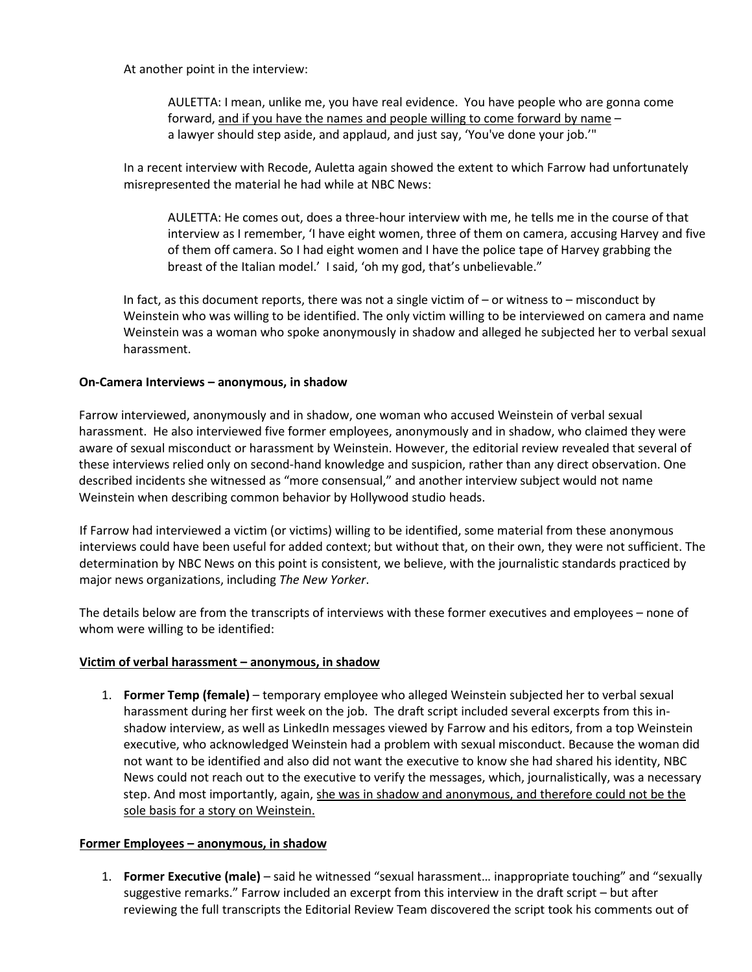At another point in the interview:

AULETTA: I mean, unlike me, you have real evidence. You have people who are gonna come forward, and if you have the names and people willing to come forward by name – a lawyer should step aside, and applaud, and just say, 'You've done your job.'"

In a recent interview with Recode, Auletta again showed the extent to which Farrow had unfortunately misrepresented the material he had while at NBC News:

AULETTA: He comes out, does a three-hour interview with me, he tells me in the course of that interview as I remember, 'I have eight women, three of them on camera, accusing Harvey and five of them off camera. So I had eight women and I have the police tape of Harvey grabbing the breast of the Italian model.' I said, 'oh my god, that's unbelievable."

In fact, as this document reports, there was not a single victim of  $-$  or witness to  $-$  misconduct by Weinstein who was willing to be identified. The only victim willing to be interviewed on camera and name Weinstein was a woman who spoke anonymously in shadow and alleged he subjected her to verbal sexual harassment.

#### **On-Camera Interviews – anonymous, in shadow**

Farrow interviewed, anonymously and in shadow, one woman who accused Weinstein of verbal sexual harassment. He also interviewed five former employees, anonymously and in shadow, who claimed they were aware of sexual misconduct or harassment by Weinstein. However, the editorial review revealed that several of these interviews relied only on second-hand knowledge and suspicion, rather than any direct observation. One described incidents she witnessed as "more consensual," and another interview subject would not name Weinstein when describing common behavior by Hollywood studio heads.

If Farrow had interviewed a victim (or victims) willing to be identified, some material from these anonymous interviews could have been useful for added context; but without that, on their own, they were not sufficient. The determination by NBC News on this point is consistent, we believe, with the journalistic standards practiced by major news organizations, including *The New Yorker*.

The details below are from the transcripts of interviews with these former executives and employees – none of whom were willing to be identified:

#### **Victim of verbal harassment – anonymous, in shadow**

1. **Former Temp (female)** – temporary employee who alleged Weinstein subjected her to verbal sexual harassment during her first week on the job. The draft script included several excerpts from this inshadow interview, as well as LinkedIn messages viewed by Farrow and his editors, from a top Weinstein executive, who acknowledged Weinstein had a problem with sexual misconduct. Because the woman did not want to be identified and also did not want the executive to know she had shared his identity, NBC News could not reach out to the executive to verify the messages, which, journalistically, was a necessary step. And most importantly, again, she was in shadow and anonymous, and therefore could not be the sole basis for a story on Weinstein.

#### **Former Employees – anonymous, in shadow**

1. **Former Executive (male)** – said he witnessed "sexual harassment… inappropriate touching" and "sexually suggestive remarks." Farrow included an excerpt from this interview in the draft script – but after reviewing the full transcripts the Editorial Review Team discovered the script took his comments out of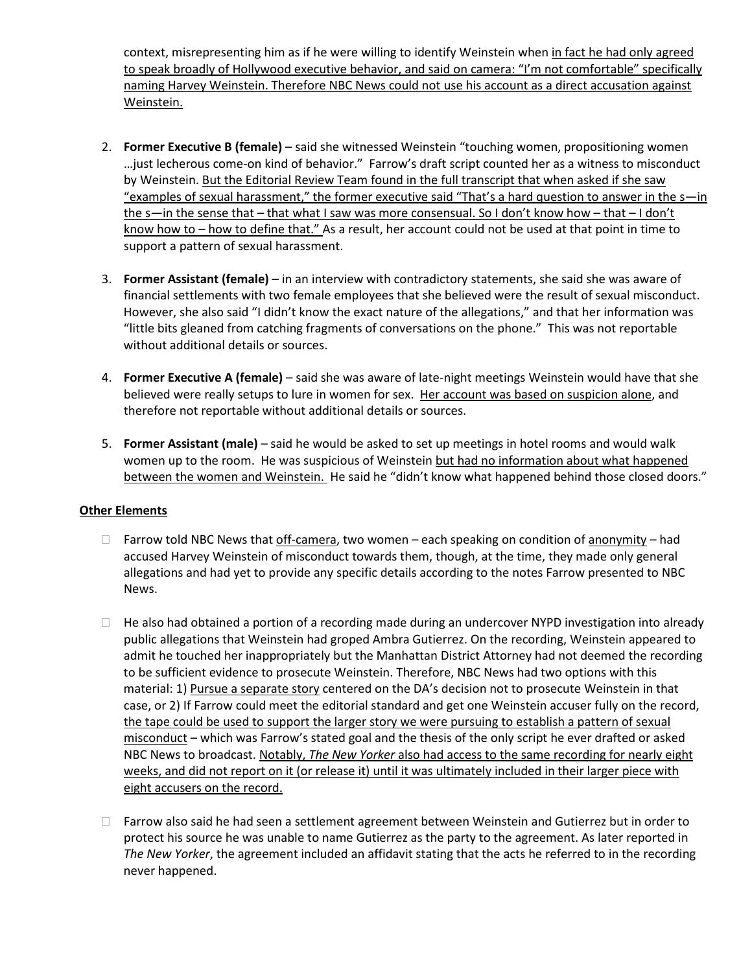context, misrepresenting him as if he were willing to identify Weinstein when in fact he had only agreed to speak broadly of Hollywood executive behavior, and said on camera: "I'm not comfortable" specifically naming Harvey Weinstein. Therefore NBC News could not use his account as a direct accusation against Weinstein.

- 2. **Former Executive B (female)** said she witnessed Weinstein "touching women, propositioning women …just lecherous come-on kind of behavior." Farrow's draft script counted her as a witness to misconduct by Weinstein. But the Editorial Review Team found in the full transcript that when asked if she saw "examples of sexual harassment," the former executive said "That's a hard question to answer in the s—in the s—in the sense that – that what I saw was more consensual. So I don't know how – that – I don't know how to – how to define that." As a result, her account could not be used at that point in time to support a pattern of sexual harassment.
- 3. **Former Assistant (female)** in an interview with contradictory statements, she said she was aware of financial settlements with two female employees that she believed were the result of sexual misconduct. However, she also said "I didn't know the exact nature of the allegations," and that her information was "little bits gleaned from catching fragments of conversations on the phone." This was not reportable without additional details or sources.
- 4. **Former Executive A (female)** said she was aware of late-night meetings Weinstein would have that she believed were really setups to lure in women for sex. Her account was based on suspicion alone, and therefore not reportable without additional details or sources.
- 5. **Former Assistant (male)** said he would be asked to set up meetings in hotel rooms and would walk women up to the room. He was suspicious of Weinstein but had no information about what happened between the women and Weinstein. He said he "didn't know what happened behind those closed doors."

#### **Other Elements**

- $\Box$  Farrow told NBC News that off-camera, two women each speaking on condition of anonymity had accused Harvey Weinstein of misconduct towards them, though, at the time, they made only general allegations and had yet to provide any specific details according to the notes Farrow presented to NBC News.
- $\Box$  He also had obtained a portion of a recording made during an undercover NYPD investigation into already public allegations that Weinstein had groped Ambra Gutierrez. On the recording, Weinstein appeared to admit he touched her inappropriately but the Manhattan District Attorney had not deemed the recording to be sufficient evidence to prosecute Weinstein. Therefore, NBC News had two options with this material: 1) Pursue a separate story centered on the DA's decision not to prosecute Weinstein in that case, or 2) If Farrow could meet the editorial standard and get one Weinstein accuser fully on the record, the tape could be used to support the larger story we were pursuing to establish a pattern of sexual misconduct – which was Farrow's stated goal and the thesis of the only script he ever drafted or asked NBC News to broadcast. Notably, *The New Yorker* also had access to the same recording for nearly eight weeks, and did not report on it (or release it) until it was ultimately included in their larger piece with eight accusers on the record.
- $\Box$  Farrow also said he had seen a settlement agreement between Weinstein and Gutierrez but in order to protect his source he was unable to name Gutierrez as the party to the agreement. As later reported in *The New Yorker*, the agreement included an affidavit stating that the acts he referred to in the recording never happened.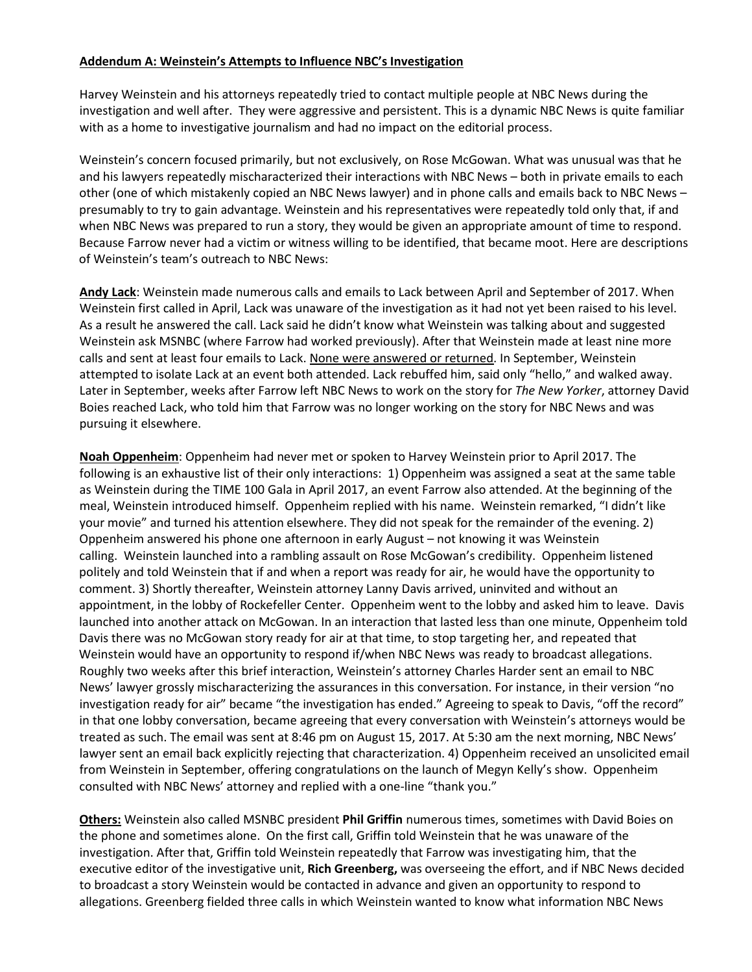#### **Addendum A: Weinstein's Attempts to Influence NBC's Investigation**

Harvey Weinstein and his attorneys repeatedly tried to contact multiple people at NBC News during the investigation and well after. They were aggressive and persistent. This is a dynamic NBC News is quite familiar with as a home to investigative journalism and had no impact on the editorial process.

Weinstein's concern focused primarily, but not exclusively, on Rose McGowan. What was unusual was that he and his lawyers repeatedly mischaracterized their interactions with NBC News – both in private emails to each other (one of which mistakenly copied an NBC News lawyer) and in phone calls and emails back to NBC News – presumably to try to gain advantage. Weinstein and his representatives were repeatedly told only that, if and when NBC News was prepared to run a story, they would be given an appropriate amount of time to respond. Because Farrow never had a victim or witness willing to be identified, that became moot. Here are descriptions of Weinstein's team's outreach to NBC News:

**Andy Lack**: Weinstein made numerous calls and emails to Lack between April and September of 2017. When Weinstein first called in April, Lack was unaware of the investigation as it had not yet been raised to his level. As a result he answered the call. Lack said he didn't know what Weinstein was talking about and suggested Weinstein ask MSNBC (where Farrow had worked previously). After that Weinstein made at least nine more calls and sent at least four emails to Lack. None were answered or returned. In September, Weinstein attempted to isolate Lack at an event both attended. Lack rebuffed him, said only "hello," and walked away. Later in September, weeks after Farrow left NBC News to work on the story for *The New Yorker*, attorney David Boies reached Lack, who told him that Farrow was no longer working on the story for NBC News and was pursuing it elsewhere.

**Noah Oppenheim**: Oppenheim had never met or spoken to Harvey Weinstein prior to April 2017. The following is an exhaustive list of their only interactions: 1) Oppenheim was assigned a seat at the same table as Weinstein during the TIME 100 Gala in April 2017, an event Farrow also attended. At the beginning of the meal, Weinstein introduced himself. Oppenheim replied with his name. Weinstein remarked, "I didn't like your movie" and turned his attention elsewhere. They did not speak for the remainder of the evening. 2) Oppenheim answered his phone one afternoon in early August – not knowing it was Weinstein calling. Weinstein launched into a rambling assault on Rose McGowan's credibility. Oppenheim listened politely and told Weinstein that if and when a report was ready for air, he would have the opportunity to comment. 3) Shortly thereafter, Weinstein attorney Lanny Davis arrived, uninvited and without an appointment, in the lobby of Rockefeller Center. Oppenheim went to the lobby and asked him to leave. Davis launched into another attack on McGowan. In an interaction that lasted less than one minute, Oppenheim told Davis there was no McGowan story ready for air at that time, to stop targeting her, and repeated that Weinstein would have an opportunity to respond if/when NBC News was ready to broadcast allegations. Roughly two weeks after this brief interaction, Weinstein's attorney Charles Harder sent an email to NBC News' lawyer grossly mischaracterizing the assurances in this conversation. For instance, in their version "no investigation ready for air" became "the investigation has ended." Agreeing to speak to Davis, "off the record" in that one lobby conversation, became agreeing that every conversation with Weinstein's attorneys would be treated as such. The email was sent at 8:46 pm on August 15, 2017. At 5:30 am the next morning, NBC News' lawyer sent an email back explicitly rejecting that characterization. 4) Oppenheim received an unsolicited email from Weinstein in September, offering congratulations on the launch of Megyn Kelly's show. Oppenheim consulted with NBC News' attorney and replied with a one-line "thank you."

**Others:** Weinstein also called MSNBC president **Phil Griffin** numerous times, sometimes with David Boies on the phone and sometimes alone. On the first call, Griffin told Weinstein that he was unaware of the investigation. After that, Griffin told Weinstein repeatedly that Farrow was investigating him, that the executive editor of the investigative unit, **Rich Greenberg,** was overseeing the effort, and if NBC News decided to broadcast a story Weinstein would be contacted in advance and given an opportunity to respond to allegations. Greenberg fielded three calls in which Weinstein wanted to know what information NBC News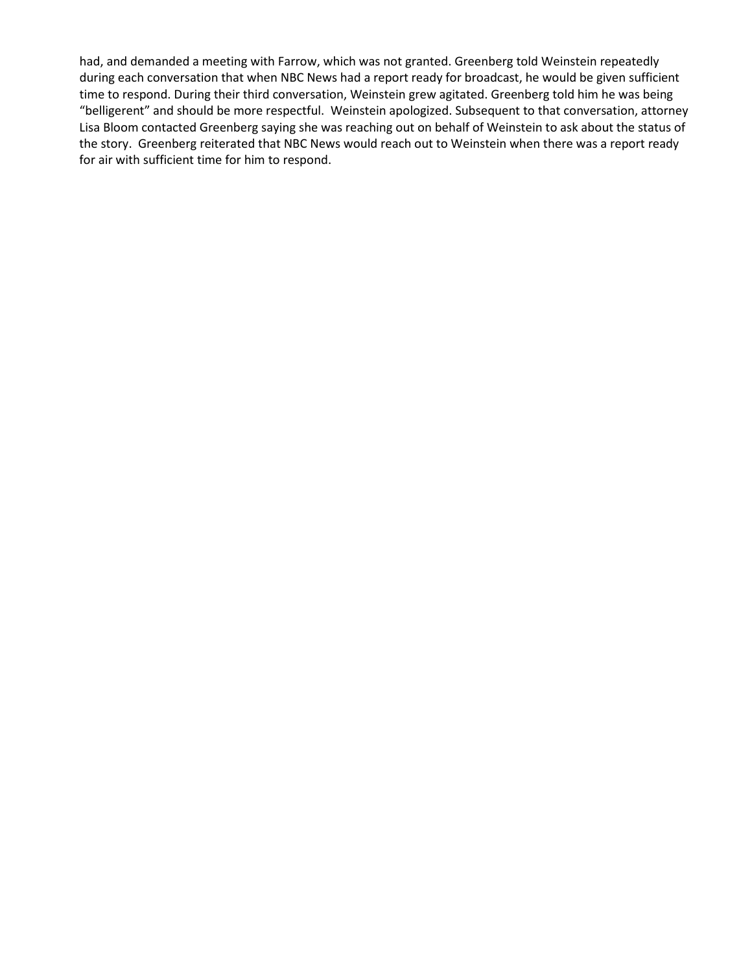had, and demanded a meeting with Farrow, which was not granted. Greenberg told Weinstein repeatedly during each conversation that when NBC News had a report ready for broadcast, he would be given sufficient time to respond. During their third conversation, Weinstein grew agitated. Greenberg told him he was being "belligerent" and should be more respectful. Weinstein apologized. Subsequent to that conversation, attorney Lisa Bloom contacted Greenberg saying she was reaching out on behalf of Weinstein to ask about the status of the story. Greenberg reiterated that NBC News would reach out to Weinstein when there was a report ready for air with sufficient time for him to respond.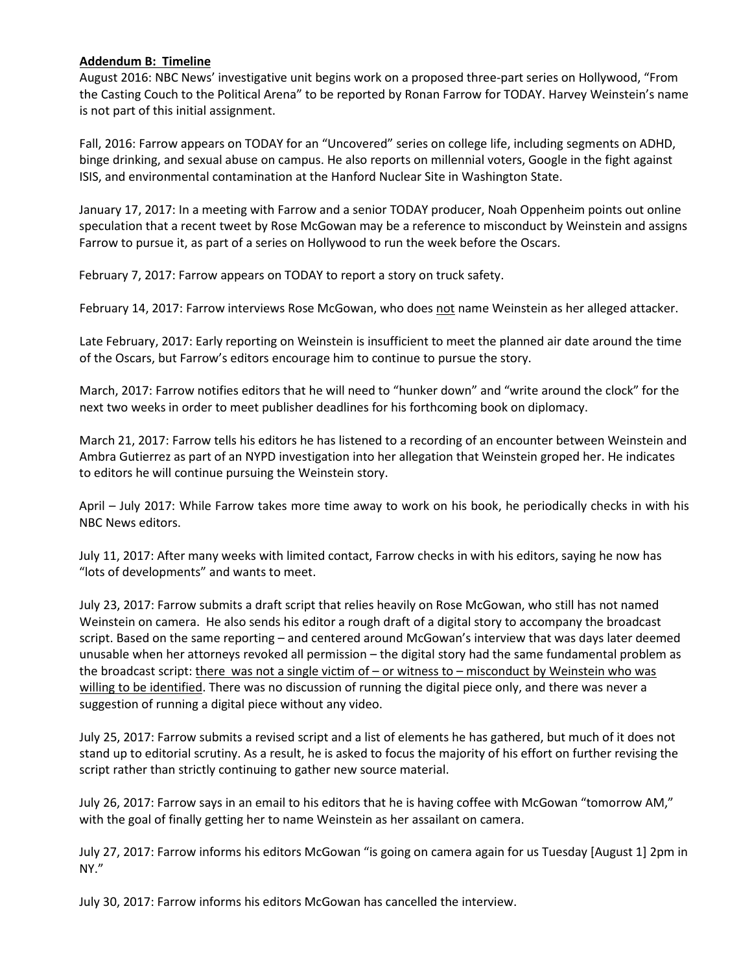#### **Addendum B: Timeline**

August 2016: NBC News' investigative unit begins work on a proposed three-part series on Hollywood, "From the Casting Couch to the Political Arena" to be reported by Ronan Farrow for TODAY. Harvey Weinstein's name is not part of this initial assignment.

Fall, 2016: Farrow appears on TODAY for an "Uncovered" series on college life, including segments on ADHD, binge drinking, and sexual abuse on campus. He also reports on millennial voters, Google in the fight against ISIS, and environmental contamination at the Hanford Nuclear Site in Washington State.

January 17, 2017: In a meeting with Farrow and a senior TODAY producer, Noah Oppenheim points out online speculation that a recent tweet by Rose McGowan may be a reference to misconduct by Weinstein and assigns Farrow to pursue it, as part of a series on Hollywood to run the week before the Oscars.

February 7, 2017: Farrow appears on TODAY to report a story on truck safety.

February 14, 2017: Farrow interviews Rose McGowan, who does not name Weinstein as her alleged attacker.

Late February, 2017: Early reporting on Weinstein is insufficient to meet the planned air date around the time of the Oscars, but Farrow's editors encourage him to continue to pursue the story.

March, 2017: Farrow notifies editors that he will need to "hunker down" and "write around the clock" for the next two weeks in order to meet publisher deadlines for his forthcoming book on diplomacy.

March 21, 2017: Farrow tells his editors he has listened to a recording of an encounter between Weinstein and Ambra Gutierrez as part of an NYPD investigation into her allegation that Weinstein groped her. He indicates to editors he will continue pursuing the Weinstein story.

April – July 2017: While Farrow takes more time away to work on his book, he periodically checks in with his NBC News editors.

July 11, 2017: After many weeks with limited contact, Farrow checks in with his editors, saying he now has "lots of developments" and wants to meet.

July 23, 2017: Farrow submits a draft script that relies heavily on Rose McGowan, who still has not named Weinstein on camera. He also sends his editor a rough draft of a digital story to accompany the broadcast script. Based on the same reporting – and centered around McGowan's interview that was days later deemed unusable when her attorneys revoked all permission – the digital story had the same fundamental problem as the broadcast script: there was not a single victim of – or witness to – misconduct by Weinstein who was willing to be identified. There was no discussion of running the digital piece only, and there was never a suggestion of running a digital piece without any video.

July 25, 2017: Farrow submits a revised script and a list of elements he has gathered, but much of it does not stand up to editorial scrutiny. As a result, he is asked to focus the majority of his effort on further revising the script rather than strictly continuing to gather new source material.

July 26, 2017: Farrow says in an email to his editors that he is having coffee with McGowan "tomorrow AM," with the goal of finally getting her to name Weinstein as her assailant on camera.

July 27, 2017: Farrow informs his editors McGowan "is going on camera again for us Tuesday [August 1] 2pm in NY."

July 30, 2017: Farrow informs his editors McGowan has cancelled the interview.